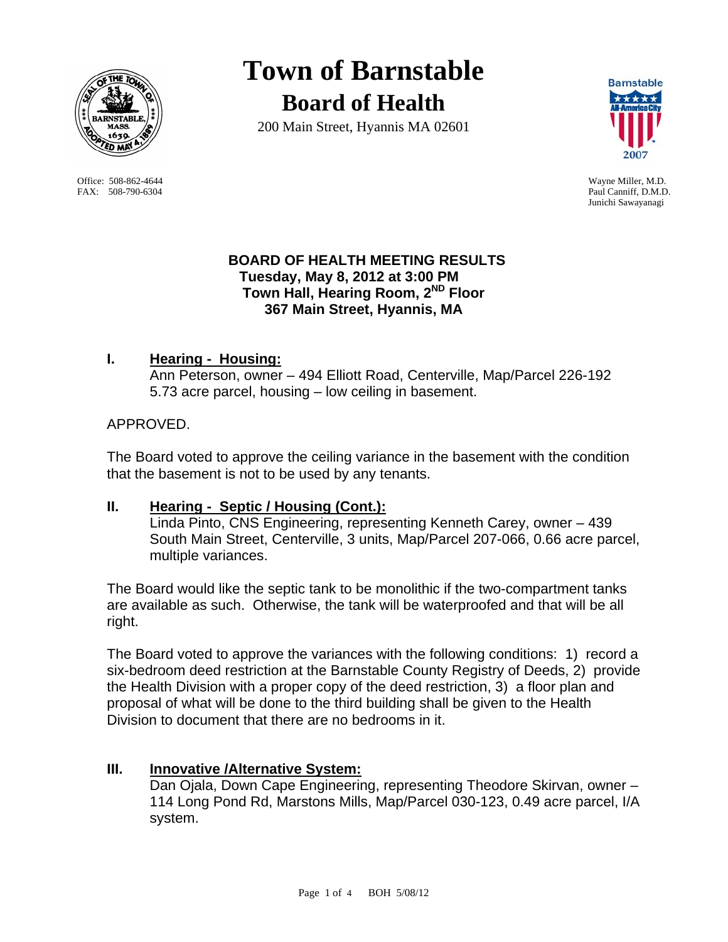

 Office: 508-862-4644 Wayne Miller, M.D. FAX: 508-790-6304 Paul Canniff, D.M.D.

**Town of Barnstable Board of Health**

200 Main Street, Hyannis MA 02601



Junichi Sawayanagi

### **BOARD OF HEALTH MEETING RESULTS Tuesday, May 8, 2012 at 3:00 PM Town Hall, Hearing Room, 2ND Floor 367 Main Street, Hyannis, MA**

## **I. Hearing - Housing:**

Ann Peterson, owner – 494 Elliott Road, Centerville, Map/Parcel 226-192 5.73 acre parcel, housing – low ceiling in basement.

#### APPROVED.

The Board voted to approve the ceiling variance in the basement with the condition that the basement is not to be used by any tenants.

# **II. Hearing - Septic / Housing (Cont.):**

Linda Pinto, CNS Engineering, representing Kenneth Carey, owner – 439 South Main Street, Centerville, 3 units, Map/Parcel 207-066, 0.66 acre parcel, multiple variances.

The Board would like the septic tank to be monolithic if the two-compartment tanks are available as such. Otherwise, the tank will be waterproofed and that will be all right.

The Board voted to approve the variances with the following conditions: 1) record a six-bedroom deed restriction at the Barnstable County Registry of Deeds, 2) provide the Health Division with a proper copy of the deed restriction, 3) a floor plan and proposal of what will be done to the third building shall be given to the Health Division to document that there are no bedrooms in it.

#### **III. Innovative /Alternative System:**

Dan Ojala, Down Cape Engineering, representing Theodore Skirvan, owner – 114 Long Pond Rd, Marstons Mills, Map/Parcel 030-123, 0.49 acre parcel, I/A system.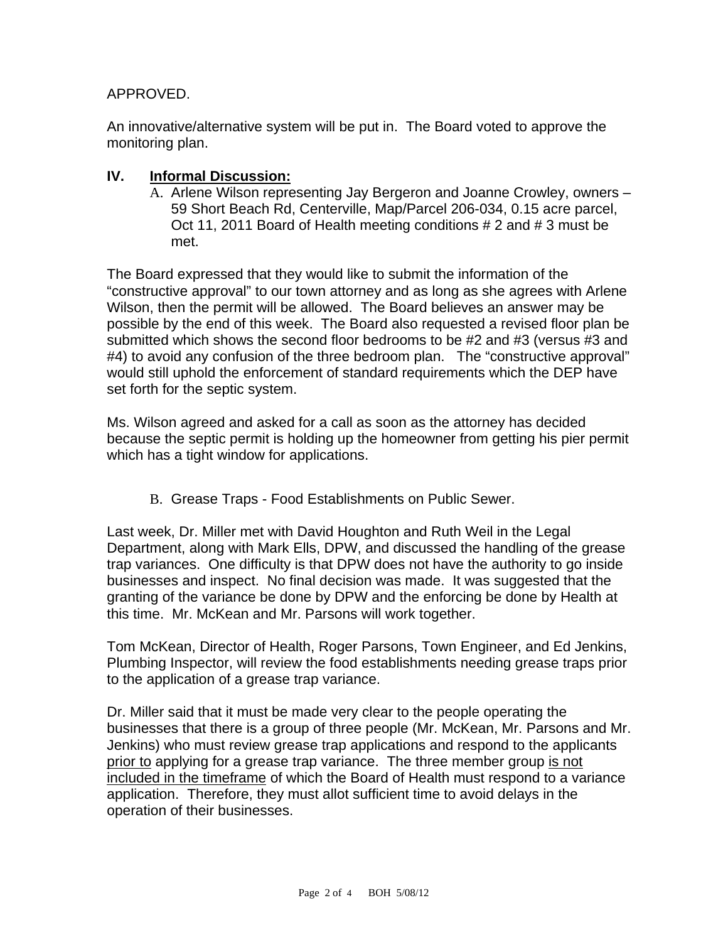#### APPROVED.

An innovative/alternative system will be put in. The Board voted to approve the monitoring plan.

#### **IV. Informal Discussion:**

A. Arlene Wilson representing Jay Bergeron and Joanne Crowley, owners – 59 Short Beach Rd, Centerville, Map/Parcel 206-034, 0.15 acre parcel, Oct 11, 2011 Board of Health meeting conditions # 2 and # 3 must be met.

The Board expressed that they would like to submit the information of the "constructive approval" to our town attorney and as long as she agrees with Arlene Wilson, then the permit will be allowed. The Board believes an answer may be possible by the end of this week. The Board also requested a revised floor plan be submitted which shows the second floor bedrooms to be #2 and #3 (versus #3 and #4) to avoid any confusion of the three bedroom plan. The "constructive approval" would still uphold the enforcement of standard requirements which the DEP have set forth for the septic system.

Ms. Wilson agreed and asked for a call as soon as the attorney has decided because the septic permit is holding up the homeowner from getting his pier permit which has a tight window for applications.

B. Grease Traps - Food Establishments on Public Sewer.

Last week, Dr. Miller met with David Houghton and Ruth Weil in the Legal Department, along with Mark Ells, DPW, and discussed the handling of the grease trap variances. One difficulty is that DPW does not have the authority to go inside businesses and inspect. No final decision was made. It was suggested that the granting of the variance be done by DPW and the enforcing be done by Health at this time. Mr. McKean and Mr. Parsons will work together.

Tom McKean, Director of Health, Roger Parsons, Town Engineer, and Ed Jenkins, Plumbing Inspector, will review the food establishments needing grease traps prior to the application of a grease trap variance.

Dr. Miller said that it must be made very clear to the people operating the businesses that there is a group of three people (Mr. McKean, Mr. Parsons and Mr. Jenkins) who must review grease trap applications and respond to the applicants prior to applying for a grease trap variance. The three member group is not included in the timeframe of which the Board of Health must respond to a variance application. Therefore, they must allot sufficient time to avoid delays in the operation of their businesses.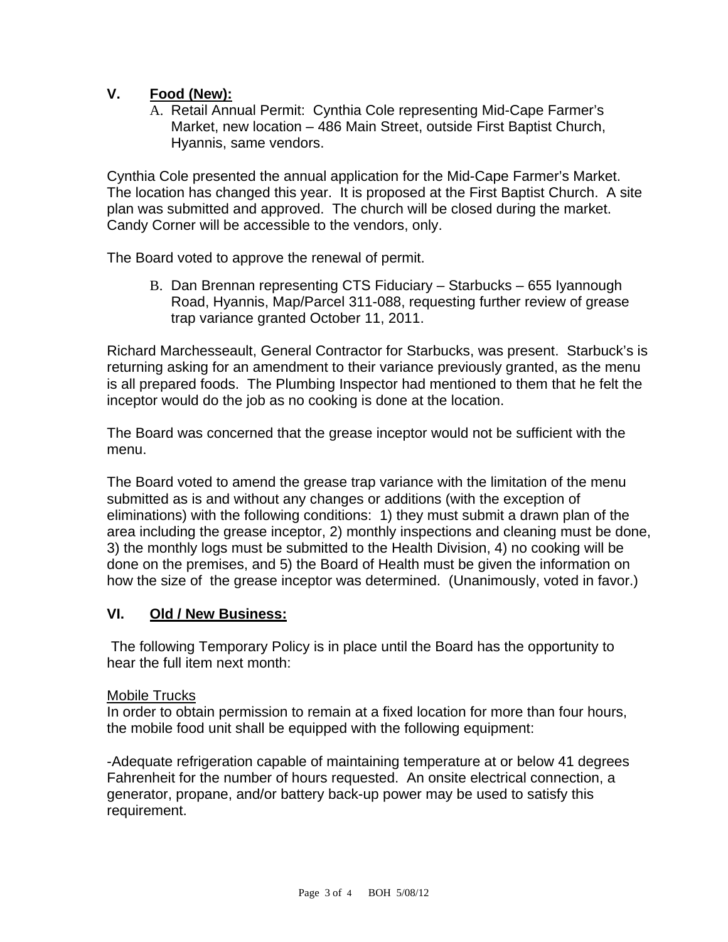## **V. Food (New):**

A. Retail Annual Permit: Cynthia Cole representing Mid-Cape Farmer's Market, new location – 486 Main Street, outside First Baptist Church, Hyannis, same vendors.

Cynthia Cole presented the annual application for the Mid-Cape Farmer's Market. The location has changed this year. It is proposed at the First Baptist Church. A site plan was submitted and approved. The church will be closed during the market. Candy Corner will be accessible to the vendors, only.

The Board voted to approve the renewal of permit.

B. Dan Brennan representing CTS Fiduciary – Starbucks – 655 Iyannough Road, Hyannis, Map/Parcel 311-088, requesting further review of grease trap variance granted October 11, 2011.

Richard Marchesseault, General Contractor for Starbucks, was present. Starbuck's is returning asking for an amendment to their variance previously granted, as the menu is all prepared foods. The Plumbing Inspector had mentioned to them that he felt the inceptor would do the job as no cooking is done at the location.

The Board was concerned that the grease inceptor would not be sufficient with the menu.

The Board voted to amend the grease trap variance with the limitation of the menu submitted as is and without any changes or additions (with the exception of eliminations) with the following conditions: 1) they must submit a drawn plan of the area including the grease inceptor, 2) monthly inspections and cleaning must be done, 3) the monthly logs must be submitted to the Health Division, 4) no cooking will be done on the premises, and 5) the Board of Health must be given the information on how the size of the grease inceptor was determined. (Unanimously, voted in favor.)

#### **VI. Old / New Business:**

 The following Temporary Policy is in place until the Board has the opportunity to hear the full item next month:

#### Mobile Trucks

In order to obtain permission to remain at a fixed location for more than four hours, the mobile food unit shall be equipped with the following equipment:

-Adequate refrigeration capable of maintaining temperature at or below 41 degrees Fahrenheit for the number of hours requested. An onsite electrical connection, a generator, propane, and/or battery back-up power may be used to satisfy this requirement.